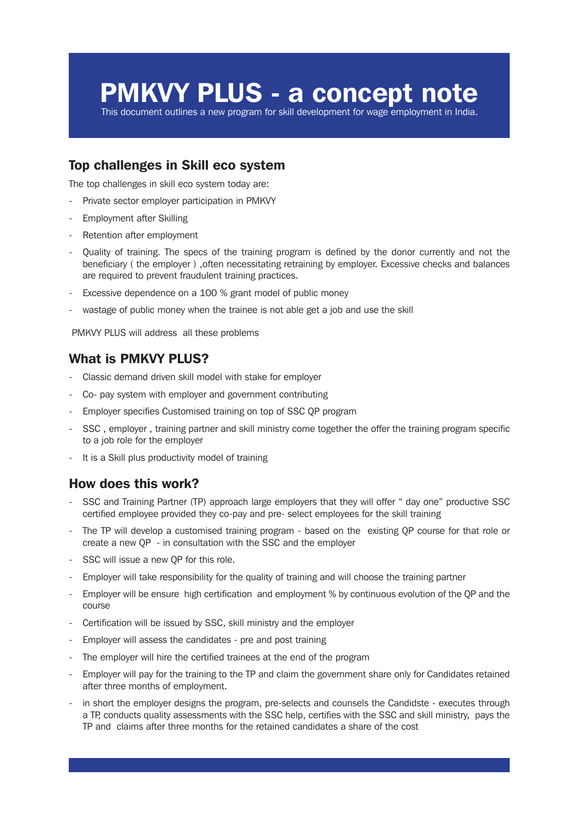# PMKVY PLUS - a concept note

This document outlines a new program for skill development for wage employment in India.

## Top challenges in Skill eco system

The top challenges in skill eco system today are:

- Private sector employer participation in PMKVY
- Employment after Skilling
- Retention after employment
- Quality of training. The specs of the training program is defined by the donor currently and not the beneficiary ( the employer ) ,often necessitating retraining by employer. Excessive checks and balances are required to prevent fraudulent training practices.
- Excessive dependence on a 100 % grant model of public money
- wastage of public money when the trainee is not able get a job and use the skill

PMKVY PLUS will address all these problems

### What is PMKVY PLUS?

- Classic demand driven skill model with stake for employer
- Co- pay system with employer and government contributing
- Employer specifies Customised training on top of SSC QP program
- SSC, employer, training partner and skill ministry come together the offer the training program specific to a job role for the employer
- It is a Skill plus productivity model of training

#### How does this work?

- SSC and Training Partner (TP) approach large employers that they will offer " day one" productive SSC certified employee provided they co-pay and pre- select employees for the skill training
- The TP will develop a customised training program based on the existing QP course for that role or create a new QP - in consultation with the SSC and the employer
- SSC will issue a new QP for this role.
- Employer will take responsibility for the quality of training and will choose the training partner
- Employer will be ensure high certification and employment % by continuous evolution of the QP and the course
- Certification will be issued by SSC, skill ministry and the employer
- Employer will assess the candidates pre and post training
- The employer will hire the certified trainees at the end of the program
- Employer will pay for the training to the TP and claim the government share only for Candidates retained after three months of employment.
- in short the employer designs the program, pre-selects and counsels the Candidste executes through a TP, conducts quality assessments with the SSC help, certifies with the SSC and skill ministry, pays the TP and claims after three months for the retained candidates a share of the cost